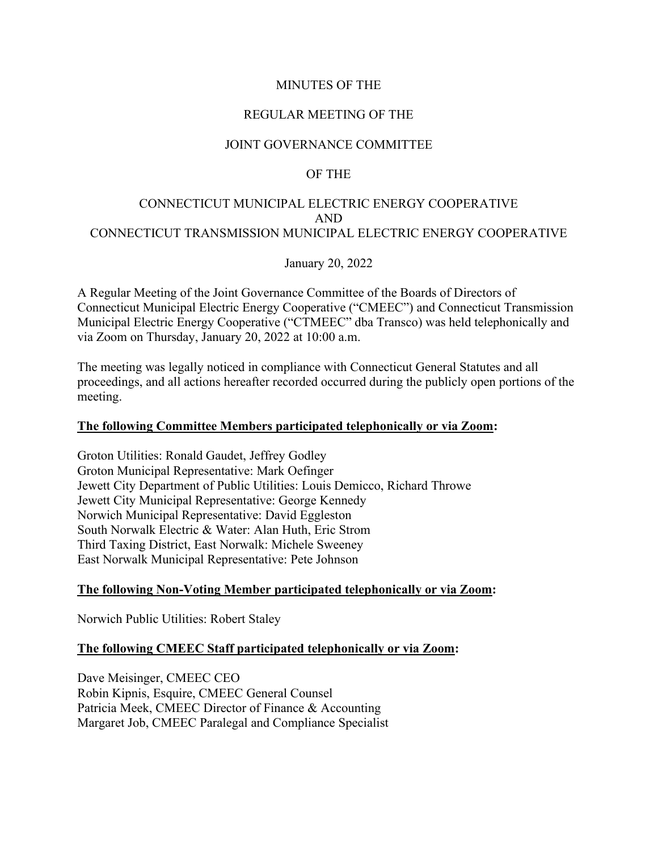### MINUTES OF THE

### REGULAR MEETING OF THE

### JOINT GOVERNANCE COMMITTEE

### OF THE

# CONNECTICUT MUNICIPAL ELECTRIC ENERGY COOPERATIVE AND CONNECTICUT TRANSMISSION MUNICIPAL ELECTRIC ENERGY COOPERATIVE

January 20, 2022

A Regular Meeting of the Joint Governance Committee of the Boards of Directors of Connecticut Municipal Electric Energy Cooperative ("CMEEC") and Connecticut Transmission Municipal Electric Energy Cooperative ("CTMEEC" dba Transco) was held telephonically and via Zoom on Thursday, January 20, 2022 at 10:00 a.m.

The meeting was legally noticed in compliance with Connecticut General Statutes and all proceedings, and all actions hereafter recorded occurred during the publicly open portions of the meeting.

#### **The following Committee Members participated telephonically or via Zoom:**

Groton Utilities: Ronald Gaudet, Jeffrey Godley Groton Municipal Representative: Mark Oefinger Jewett City Department of Public Utilities: Louis Demicco, Richard Throwe Jewett City Municipal Representative: George Kennedy Norwich Municipal Representative: David Eggleston South Norwalk Electric & Water: Alan Huth, Eric Strom Third Taxing District, East Norwalk: Michele Sweeney East Norwalk Municipal Representative: Pete Johnson

### **The following Non-Voting Member participated telephonically or via Zoom:**

Norwich Public Utilities: Robert Staley

### **The following CMEEC Staff participated telephonically or via Zoom:**

Dave Meisinger, CMEEC CEO Robin Kipnis, Esquire, CMEEC General Counsel Patricia Meek, CMEEC Director of Finance & Accounting Margaret Job, CMEEC Paralegal and Compliance Specialist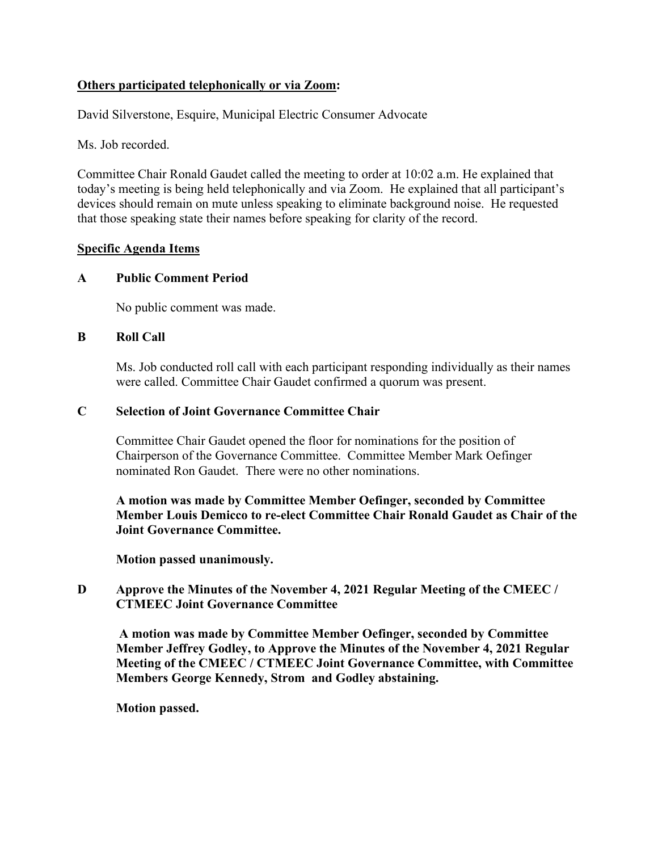# **Others participated telephonically or via Zoom:**

David Silverstone, Esquire, Municipal Electric Consumer Advocate

Ms. Job recorded.

Committee Chair Ronald Gaudet called the meeting to order at 10:02 a.m. He explained that today's meeting is being held telephonically and via Zoom. He explained that all participant's devices should remain on mute unless speaking to eliminate background noise. He requested that those speaking state their names before speaking for clarity of the record.

### **Specific Agenda Items**

### **A Public Comment Period**

No public comment was made.

#### **B Roll Call**

Ms. Job conducted roll call with each participant responding individually as their names were called. Committee Chair Gaudet confirmed a quorum was present.

#### **C Selection of Joint Governance Committee Chair**

Committee Chair Gaudet opened the floor for nominations for the position of Chairperson of the Governance Committee. Committee Member Mark Oefinger nominated Ron Gaudet. There were no other nominations.

**A motion was made by Committee Member Oefinger, seconded by Committee Member Louis Demicco to re-elect Committee Chair Ronald Gaudet as Chair of the Joint Governance Committee.**

**Motion passed unanimously.**

### **D Approve the Minutes of the November 4, 2021 Regular Meeting of the CMEEC / CTMEEC Joint Governance Committee**

**A motion was made by Committee Member Oefinger, seconded by Committee Member Jeffrey Godley, to Approve the Minutes of the November 4, 2021 Regular Meeting of the CMEEC / CTMEEC Joint Governance Committee, with Committee Members George Kennedy, Strom and Godley abstaining.**

**Motion passed.**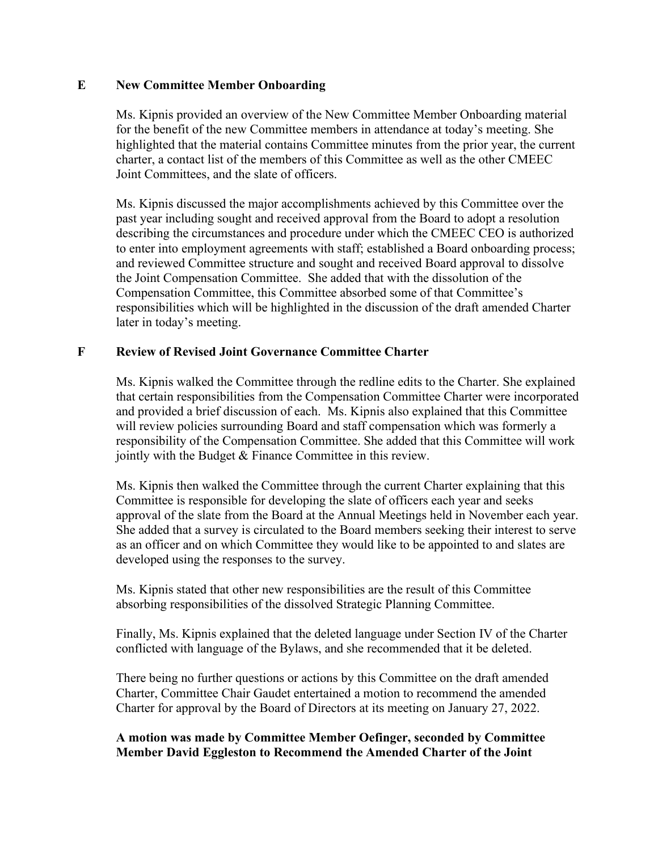### **E New Committee Member Onboarding**

Ms. Kipnis provided an overview of the New Committee Member Onboarding material for the benefit of the new Committee members in attendance at today's meeting. She highlighted that the material contains Committee minutes from the prior year, the current charter, a contact list of the members of this Committee as well as the other CMEEC Joint Committees, and the slate of officers.

Ms. Kipnis discussed the major accomplishments achieved by this Committee over the past year including sought and received approval from the Board to adopt a resolution describing the circumstances and procedure under which the CMEEC CEO is authorized to enter into employment agreements with staff; established a Board onboarding process; and reviewed Committee structure and sought and received Board approval to dissolve the Joint Compensation Committee. She added that with the dissolution of the Compensation Committee, this Committee absorbed some of that Committee's responsibilities which will be highlighted in the discussion of the draft amended Charter later in today's meeting.

### **F Review of Revised Joint Governance Committee Charter**

Ms. Kipnis walked the Committee through the redline edits to the Charter. She explained that certain responsibilities from the Compensation Committee Charter were incorporated and provided a brief discussion of each. Ms. Kipnis also explained that this Committee will review policies surrounding Board and staff compensation which was formerly a responsibility of the Compensation Committee. She added that this Committee will work jointly with the Budget & Finance Committee in this review.

Ms. Kipnis then walked the Committee through the current Charter explaining that this Committee is responsible for developing the slate of officers each year and seeks approval of the slate from the Board at the Annual Meetings held in November each year. She added that a survey is circulated to the Board members seeking their interest to serve as an officer and on which Committee they would like to be appointed to and slates are developed using the responses to the survey.

Ms. Kipnis stated that other new responsibilities are the result of this Committee absorbing responsibilities of the dissolved Strategic Planning Committee.

Finally, Ms. Kipnis explained that the deleted language under Section IV of the Charter conflicted with language of the Bylaws, and she recommended that it be deleted.

There being no further questions or actions by this Committee on the draft amended Charter, Committee Chair Gaudet entertained a motion to recommend the amended Charter for approval by the Board of Directors at its meeting on January 27, 2022.

# **A motion was made by Committee Member Oefinger, seconded by Committee Member David Eggleston to Recommend the Amended Charter of the Joint**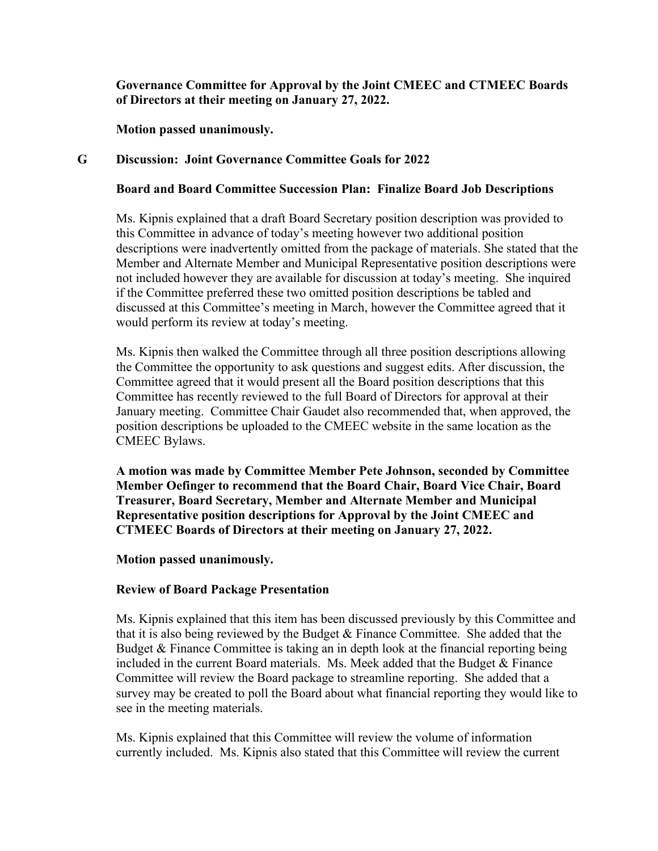**Governance Committee for Approval by the Joint CMEEC and CTMEEC Boards of Directors at their meeting on January 27, 2022.**

**Motion passed unanimously.**

### **G Discussion: Joint Governance Committee Goals for 2022**

### **Board and Board Committee Succession Plan: Finalize Board Job Descriptions**

Ms. Kipnis explained that a draft Board Secretary position description was provided to this Committee in advance of today's meeting however two additional position descriptions were inadvertently omitted from the package of materials. She stated that the Member and Alternate Member and Municipal Representative position descriptions were not included however they are available for discussion at today's meeting. She inquired if the Committee preferred these two omitted position descriptions be tabled and discussed at this Committee's meeting in March, however the Committee agreed that it would perform its review at today's meeting.

Ms. Kipnis then walked the Committee through all three position descriptions allowing the Committee the opportunity to ask questions and suggest edits. After discussion, the Committee agreed that it would present all the Board position descriptions that this Committee has recently reviewed to the full Board of Directors for approval at their January meeting. Committee Chair Gaudet also recommended that, when approved, the position descriptions be uploaded to the CMEEC website in the same location as the CMEEC Bylaws.

**A motion was made by Committee Member Pete Johnson, seconded by Committee Member Oefinger to recommend that the Board Chair, Board Vice Chair, Board Treasurer, Board Secretary, Member and Alternate Member and Municipal Representative position descriptions for Approval by the Joint CMEEC and CTMEEC Boards of Directors at their meeting on January 27, 2022.**

**Motion passed unanimously.**

### **Review of Board Package Presentation**

Ms. Kipnis explained that this item has been discussed previously by this Committee and that it is also being reviewed by the Budget & Finance Committee. She added that the Budget & Finance Committee is taking an in depth look at the financial reporting being included in the current Board materials. Ms. Meek added that the Budget & Finance Committee will review the Board package to streamline reporting. She added that a survey may be created to poll the Board about what financial reporting they would like to see in the meeting materials.

Ms. Kipnis explained that this Committee will review the volume of information currently included. Ms. Kipnis also stated that this Committee will review the current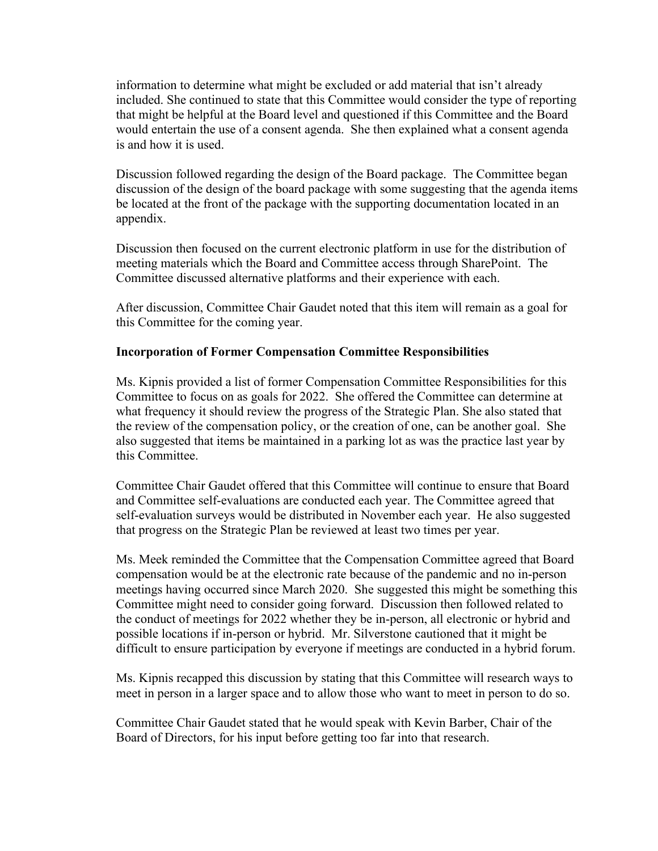information to determine what might be excluded or add material that isn't already included. She continued to state that this Committee would consider the type of reporting that might be helpful at the Board level and questioned if this Committee and the Board would entertain the use of a consent agenda. She then explained what a consent agenda is and how it is used.

Discussion followed regarding the design of the Board package. The Committee began discussion of the design of the board package with some suggesting that the agenda items be located at the front of the package with the supporting documentation located in an appendix.

Discussion then focused on the current electronic platform in use for the distribution of meeting materials which the Board and Committee access through SharePoint. The Committee discussed alternative platforms and their experience with each.

After discussion, Committee Chair Gaudet noted that this item will remain as a goal for this Committee for the coming year.

### **Incorporation of Former Compensation Committee Responsibilities**

Ms. Kipnis provided a list of former Compensation Committee Responsibilities for this Committee to focus on as goals for 2022. She offered the Committee can determine at what frequency it should review the progress of the Strategic Plan. She also stated that the review of the compensation policy, or the creation of one, can be another goal. She also suggested that items be maintained in a parking lot as was the practice last year by this Committee.

Committee Chair Gaudet offered that this Committee will continue to ensure that Board and Committee self-evaluations are conducted each year. The Committee agreed that self-evaluation surveys would be distributed in November each year. He also suggested that progress on the Strategic Plan be reviewed at least two times per year.

Ms. Meek reminded the Committee that the Compensation Committee agreed that Board compensation would be at the electronic rate because of the pandemic and no in-person meetings having occurred since March 2020. She suggested this might be something this Committee might need to consider going forward. Discussion then followed related to the conduct of meetings for 2022 whether they be in-person, all electronic or hybrid and possible locations if in-person or hybrid. Mr. Silverstone cautioned that it might be difficult to ensure participation by everyone if meetings are conducted in a hybrid forum.

Ms. Kipnis recapped this discussion by stating that this Committee will research ways to meet in person in a larger space and to allow those who want to meet in person to do so.

Committee Chair Gaudet stated that he would speak with Kevin Barber, Chair of the Board of Directors, for his input before getting too far into that research.